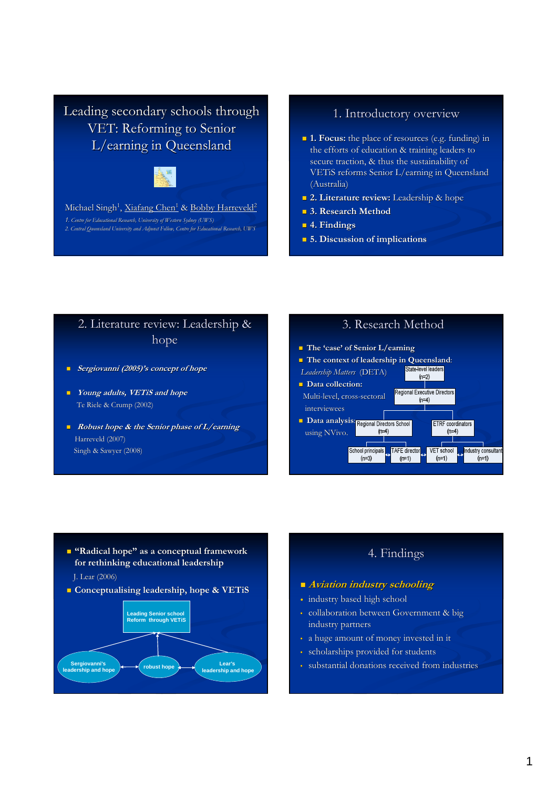Leading secondary schools through VET: Reforming to Senior L/earning in Queensland



Michael Singh<sup>1</sup>, <u>Xiafang Chen<sup>1</sup> & Bobby Harreveld<sup>2</sup></u>

1. Centre for Educational Research, University of Western Sydney (UWS) 2. Central Queensland University and Adjunct Fellow, Centre for Educational Research, UNIS

## 1. Introductory overview

- **1. Focus:** the place of resources (e.g. funding) in the efforts of education & training leaders to secure traction, & thus the sustainability of VETiS reforms Senior L/earning in Queensland (Australia)
- **2. Literature review:** Leadership & hope
- **3. Research Method**
- 4. Findings
- **5.** Discussion of implications

# 2. Literature review: Leadership & hope

- Sergiovanni (2005)'s concept of hope
- **Noward System** Young adults, VETiS and hope Te Riele & Crump (2002)
- Robust hope  $\&$  the Senior phase of  $L$ /earning Harreveld (2007) Singh & Sawyer (2008)



- The 'case' of Senior L/earning
- The context of leadership in Queensland:

School principals

 $(n=3)$ 

Leadership Matters (DETA)  $(n=2)$ Data collection: Regional Executive Directors Multi-level, cross-sectoral  $(n=4)$ interviewees Data analysis: Regional Directors School ETRF coordinators using NVivo.  $(n=4)$  $(n=4)$ 

TAFE director

 $(n=1)$ 

VET school

 $(n=1)$ 

Industry consultant  $(n=1)$ 

- **E** "Radical hope" as a conceptual framework for rethinking educational leadership
- J. Lear (2006)
- **Conceptualising leadership, hope & VETiS**



## 4. Findings

### **Aviation industry schooling**

- industry based high school
- collaboration between Government & big industry partners
- a huge amount of money invested in it
- scholarships provided for students
- substantial donations received from industries